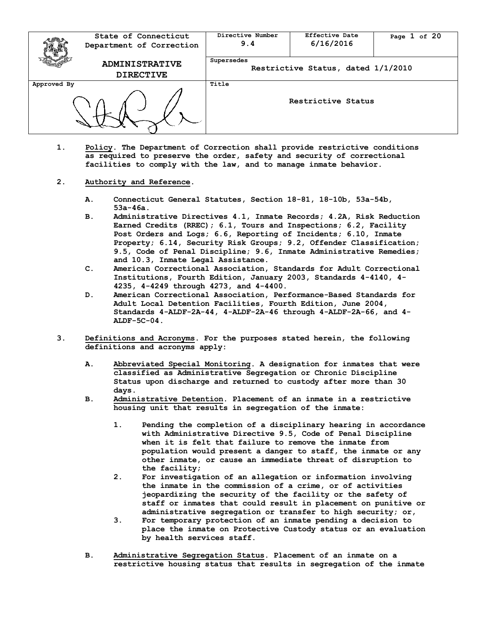|             | State of Connecticut<br>Department of Correction | Directive Number<br>9.4                          | <b>Effective Date</b><br>6/16/2016 | Page 1 of 20 |
|-------------|--------------------------------------------------|--------------------------------------------------|------------------------------------|--------------|
|             | <b>ADMINISTRATIVE</b><br><b>DIRECTIVE</b>        | Supersedes<br>Restrictive Status, dated 1/1/2010 |                                    |              |
| Approved By |                                                  | Title<br>Restrictive Status                      |                                    |              |

- **1. Policy. The Department of Correction shall provide restrictive conditions as required to preserve the order, safety and security of correctional facilities to comply with the law, and to manage inmate behavior.**
- **2. Authority and Reference.** 
	- **A. Connecticut General Statutes, Section 18-81, 18-10b, 53a-54b, 53a-46a.**
	- **B. Administrative Directives 4.1, Inmate Records; 4.2A, Risk Reduction Earned Credits (RREC); 6.1, Tours and Inspections; 6.2, Facility Post Orders and Logs; 6.6, Reporting of Incidents; 6.10, Inmate Property; 6.14, Security Risk Groups; 9.2, Offender Classification; 9.5, Code of Penal Discipline; 9.6, Inmate Administrative Remedies; and 10.3, Inmate Legal Assistance.**
	- **C. American Correctional Association, Standards for Adult Correctional Institutions, Fourth Edition, January 2003, Standards 4-4140, 4- 4235, 4-4249 through 4273, and 4-4400.**
	- **D. American Correctional Association, Performance-Based Standards for Adult Local Detention Facilities, Fourth Edition, June 2004, Standards 4-ALDF-2A-44, 4-ALDF-2A-46 through 4-ALDF-2A-66, and 4- ALDF-5C-04.**
- **3. Definitions and Acronyms. For the purposes stated herein, the following definitions and acronyms apply:**
	- **A. Abbreviated Special Monitoring. A designation for inmates that were classified as Administrative Segregation or Chronic Discipline Status upon discharge and returned to custody after more than 30 days.**
	- **B. Administrative Detention. Placement of an inmate in a restrictive housing unit that results in segregation of the inmate:**
		- **1. Pending the completion of a disciplinary hearing in accordance with Administrative Directive 9.5, Code of Penal Discipline when it is felt that failure to remove the inmate from population would present a danger to staff, the inmate or any other inmate, or cause an immediate threat of disruption to the facility;**
		- **2. For investigation of an allegation or information involving the inmate in the commission of a crime, or of activities jeopardizing the security of the facility or the safety of staff or inmates that could result in placement on punitive or administrative segregation or transfer to high security; or,**
		- **3. For temporary protection of an inmate pending a decision to place the inmate on Protective Custody status or an evaluation by health services staff.**
	- **B. Administrative Segregation Status. Placement of an inmate on a restrictive housing status that results in segregation of the inmate**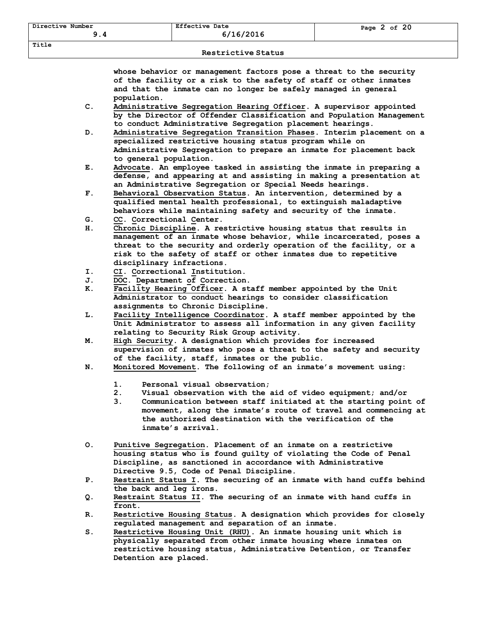## **Restrictive Status**

**whose behavior or management factors pose a threat to the security of the facility or a risk to the safety of staff or other inmates and that the inmate can no longer be safely managed in general population.** 

- **C. Administrative Segregation Hearing Officer. A supervisor appointed by the Director of Offender Classification and Population Management to conduct Administrative Segregation placement hearings.**
- **D. Administrative Segregation Transition Phases. Interim placement on a specialized restrictive housing status program while on Administrative Segregation to prepare an inmate for placement back to general population.**
- **E. Advocate. An employee tasked in assisting the inmate in preparing a defense, and appearing at and assisting in making a presentation at an Administrative Segregation or Special Needs hearings.**
- **F. Behavioral Observation Status. An intervention, determined by a qualified mental health professional, to extinguish maladaptive behaviors while maintaining safety and security of the inmate.**
- **G. CC. Correctional Center.**
- **H. Chronic Discipline. A restrictive housing status that results in management of an inmate whose behavior, while incarcerated, poses a threat to the security and orderly operation of the facility, or a risk to the safety of staff or other inmates due to repetitive disciplinary infractions.**
- **I. CI. Correctional Institution.**
- **J. DOC. Department of Correction.**
- **K. Facility Hearing Officer. A staff member appointed by the Unit Administrator to conduct hearings to consider classification assignments to Chronic Discipline.**
- **L. Facility Intelligence Coordinator. A staff member appointed by the Unit Administrator to assess all information in any given facility relating to Security Risk Group activity.**
- **M. High Security. A designation which provides for increased supervision of inmates who pose a threat to the safety and security of the facility, staff, inmates or the public.**
- **N. Monitored Movement. The following of an inmate's movement using:**
	- **1. Personal visual observation;**
	- **2. Visual observation with the aid of video equipment; and/or**
	- **3. Communication between staff initiated at the starting point of movement, along the inmate's route of travel and commencing at the authorized destination with the verification of the inmate's arrival.**
- **O. Punitive Segregation. Placement of an inmate on a restrictive housing status who is found guilty of violating the Code of Penal Discipline, as sanctioned in accordance with Administrative Directive 9.5, Code of Penal Discipline.**
- **P. Restraint Status I. The securing of an inmate with hand cuffs behind the back and leg irons.**
- **Q. Restraint Status II. The securing of an inmate with hand cuffs in front.**
- **R. Restrictive Housing Status. A designation which provides for closely regulated management and separation of an inmate.**
- **S. Restrictive Housing Unit (RHU). An inmate housing unit which is physically separated from other inmate housing where inmates on restrictive housing status, Administrative Detention, or Transfer Detention are placed.**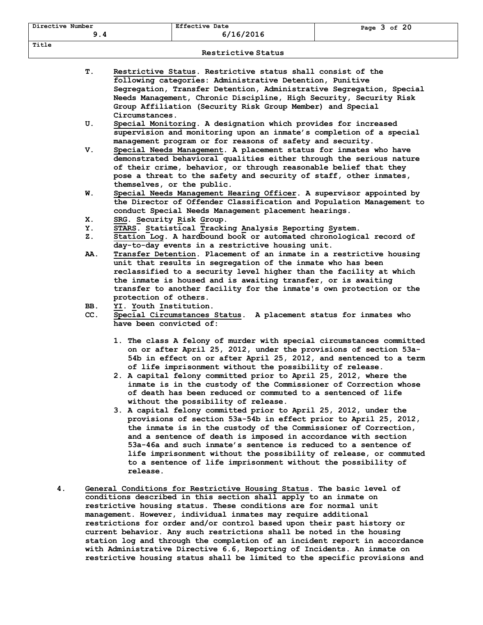| <b>Restrictive Status</b> |     |                                                                                                                                                                                                                                                                                                                                                                                                                                                                                                                          |  |  |
|---------------------------|-----|--------------------------------------------------------------------------------------------------------------------------------------------------------------------------------------------------------------------------------------------------------------------------------------------------------------------------------------------------------------------------------------------------------------------------------------------------------------------------------------------------------------------------|--|--|
|                           | Τ.  | Restrictive Status. Restrictive status shall consist of the<br>following categories: Administrative Detention, Punitive<br>Segregation, Transfer Detention, Administrative Segregation, Special<br>Needs Management, Chronic Discipline, High Security, Security Risk<br>Group Affiliation (Security Risk Group Member) and Special<br>Circumstances.                                                                                                                                                                    |  |  |
|                           | U.  | Special Monitoring. A designation which provides for increased<br>supervision and monitoring upon an inmate's completion of a special<br>management program or for reasons of safety and security.                                                                                                                                                                                                                                                                                                                       |  |  |
|                           | v.  | Special Needs Management. A placement status for inmates who have<br>demonstrated behavioral qualities either through the serious nature<br>of their crime, behavior, or through reasonable belief that they<br>pose a threat to the safety and security of staff, other inmates,<br>themselves, or the public.                                                                                                                                                                                                          |  |  |
|                           | W.  | Special Needs Management Hearing Officer. A supervisor appointed by<br>the Director of Offender Classification and Population Management to<br>conduct Special Needs Management placement hearings.                                                                                                                                                                                                                                                                                                                      |  |  |
|                           | Х.  | SRG. Security Risk Group.                                                                                                                                                                                                                                                                                                                                                                                                                                                                                                |  |  |
|                           | Υ.  | STARS. Statistical Tracking Analysis Reporting System.                                                                                                                                                                                                                                                                                                                                                                                                                                                                   |  |  |
|                           | Ζ.  | Station Log. A hardbound book or automated chronological record of<br>day-to-day events in a restrictive housing unit.                                                                                                                                                                                                                                                                                                                                                                                                   |  |  |
|                           | AA. | Transfer Detention. Placement of an inmate in a restrictive housing<br>unit that results in segregation of the inmate who has been<br>reclassified to a security level higher than the facility at which<br>the inmate is housed and is awaiting transfer, or is awaiting<br>transfer to another facility for the inmate's own protection or the<br>protection of others.                                                                                                                                                |  |  |
|                           | BB. | YI. Youth Institution.                                                                                                                                                                                                                                                                                                                                                                                                                                                                                                   |  |  |
|                           | CC. | Special Circumstances Status.<br>A placement status for inmates who<br>have been convicted of:                                                                                                                                                                                                                                                                                                                                                                                                                           |  |  |
|                           |     | 1. The class A felony of murder with special circumstances committed<br>on or after April 25, 2012, under the provisions of section 53a-<br>54b in effect on or after April 25, 2012, and sentenced to a term<br>of life imprisonment without the possibility of release.<br>2. A capital felony committed prior to April 25, 2012, where the<br>inmate is in the custody of the Commissioner of Correction whose<br>of death has been reduced or commuted to a sentenced of life<br>without the possibility of release. |  |  |
|                           |     | 3. A capital felony committed prior to April 25, 2012, under the<br>provisions of section 53a-54b in effect prior to April 25, 2012,<br>the inmate is in the custody of the Commissioner of Correction,<br>and a sentence of death is imposed in accordance with section<br>53a-46a and such inmate's sentence is reduced to a sentence of<br>life imprisonment without the possibility of release, or commuted<br>to a sentence of life imprisonment without the possibility of<br>release.                             |  |  |
| 4.                        |     | General Conditions for Restrictive Housing Status. The basic level of<br>conditions described in this section shall apply to an inmate on<br>restrictive housing status. These conditions are for normal unit<br>management. However, individual inmates may require additional<br>restrictions for order and/or control based upon their past history or<br>current behavior. Any such restrictions shall be noted in the housing                                                                                       |  |  |

**station log and through the completion of an incident report in accordance with Administrative Directive 6.6, Reporting of Incidents. An inmate on restrictive housing status shall be limited to the specific provisions and**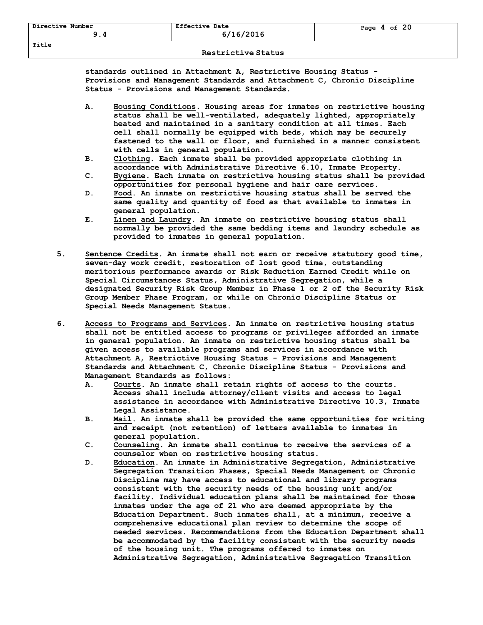**standards outlined in Attachment A, Restrictive Housing Status - Provisions and Management Standards and Attachment C, Chronic Discipline Status - Provisions and Management Standards.**

- **A. Housing Conditions. Housing areas for inmates on restrictive housing status shall be well-ventilated, adequately lighted, appropriately heated and maintained in a sanitary condition at all times. Each cell shall normally be equipped with beds, which may be securely fastened to the wall or floor, and furnished in a manner consistent with cells in general population.**
- **B. Clothing. Each inmate shall be provided appropriate clothing in accordance with Administrative Directive 6.10, Inmate Property.**
- **C. Hygiene. Each inmate on restrictive housing status shall be provided opportunities for personal hygiene and hair care services.**
- **D. Food. An inmate on restrictive housing status shall be served the same quality and quantity of food as that available to inmates in general population.**
- **E. Linen and Laundry. An inmate on restrictive housing status shall normally be provided the same bedding items and laundry schedule as provided to inmates in general population.**
- **5. Sentence Credits. An inmate shall not earn or receive statutory good time, seven-day work credit, restoration of lost good time, outstanding meritorious performance awards or Risk Reduction Earned Credit while on Special Circumstances Status, Administrative Segregation, while a designated Security Risk Group Member in Phase 1 or 2 of the Security Risk Group Member Phase Program, or while on Chronic Discipline Status or Special Needs Management Status.**
- **6. Access to Programs and Services. An inmate on restrictive housing status shall not be entitled access to programs or privileges afforded an inmate in general population. An inmate on restrictive housing status shall be given access to available programs and services in accordance with Attachment A, Restrictive Housing Status - Provisions and Management Standards and Attachment C, Chronic Discipline Status - Provisions and Management Standards as follows:**
	- **A. Courts. An inmate shall retain rights of access to the courts. Access shall include attorney/client visits and access to legal assistance in accordance with Administrative Directive 10.3, Inmate Legal Assistance.**
	- **B. Mail. An inmate shall be provided the same opportunities for writing and receipt (not retention) of letters available to inmates in general population.**
	- **C. Counseling. An inmate shall continue to receive the services of a counselor when on restrictive housing status.**
	- **D. Education. An inmate in Administrative Segregation, Administrative Segregation Transition Phases, Special Needs Management or Chronic Discipline may have access to educational and library programs consistent with the security needs of the housing unit and/or facility. Individual education plans shall be maintained for those inmates under the age of 21 who are deemed appropriate by the Education Department. Such inmates shall, at a minimum, receive a comprehensive educational plan review to determine the scope of needed services. Recommendations from the Education Department shall be accommodated by the facility consistent with the security needs of the housing unit. The programs offered to inmates on Administrative Segregation, Administrative Segregation Transition**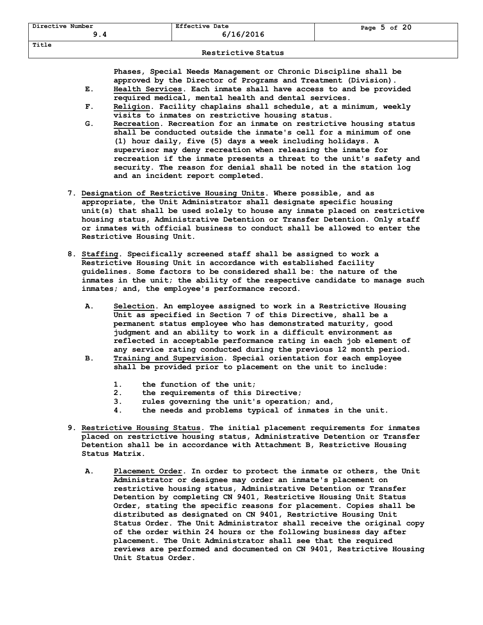## **Restrictive Status**

**Phases, Special Needs Management or Chronic Discipline shall be approved by the Director of Programs and Treatment (Division).**

- **E. Health Services. Each inmate shall have access to and be provided required medical, mental health and dental services.**
- **F. Religion. Facility chaplains shall schedule, at a minimum, weekly visits to inmates on restrictive housing status.**
- **G. Recreation. Recreation for an inmate on restrictive housing status shall be conducted outside the inmate's cell for a minimum of one (1) hour daily, five (5) days a week including holidays. A supervisor may deny recreation when releasing the inmate for recreation if the inmate presents a threat to the unit's safety and security. The reason for denial shall be noted in the station log and an incident report completed.**
- **7. Designation of Restrictive Housing Units. Where possible, and as appropriate, the Unit Administrator shall designate specific housing unit(s) that shall be used solely to house any inmate placed on restrictive housing status, Administrative Detention or Transfer Detention. Only staff or inmates with official business to conduct shall be allowed to enter the Restrictive Housing Unit.**
- **8. Staffing. Specifically screened staff shall be assigned to work a Restrictive Housing Unit in accordance with established facility guidelines. Some factors to be considered shall be: the nature of the inmates in the unit; the ability of the respective candidate to manage such inmates; and, the employee's performance record.**
	- **A. Selection. An employee assigned to work in a Restrictive Housing Unit as specified in Section 7 of this Directive, shall be a permanent status employee who has demonstrated maturity, good judgment and an ability to work in a difficult environment as reflected in acceptable performance rating in each job element of any service rating conducted during the previous 12 month period.**
	- **B. Training and Supervision. Special orientation for each employee shall be provided prior to placement on the unit to include:** 
		- **1. the function of the unit;**
		- **2. the requirements of this Directive;**
		- **3. rules governing the unit's operation; and,**
		- **4. the needs and problems typical of inmates in the unit.**
- **9. Restrictive Housing Status. The initial placement requirements for inmates placed on restrictive housing status, Administrative Detention or Transfer Detention shall be in accordance with Attachment B, Restrictive Housing Status Matrix.**
	- **A. Placement Order. In order to protect the inmate or others, the Unit Administrator or designee may order an inmate's placement on restrictive housing status, Administrative Detention or Transfer Detention by completing CN 9401, Restrictive Housing Unit Status Order, stating the specific reasons for placement. Copies shall be distributed as designated on CN 9401, Restrictive Housing Unit Status Order. The Unit Administrator shall receive the original copy of the order within 24 hours or the following business day after placement. The Unit Administrator shall see that the required reviews are performed and documented on CN 9401, Restrictive Housing Unit Status Order.**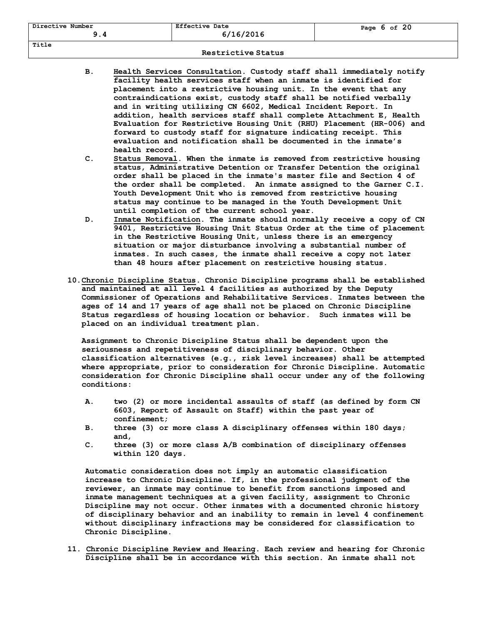| Directive Number | <b>Effective Date</b><br>6/16/2016 | Page $6$ of $20$ |
|------------------|------------------------------------|------------------|
| Title            |                                    |                  |

- **B. Health Services Consultation. Custody staff shall immediately notify facility health services staff when an inmate is identified for placement into a restrictive housing unit. In the event that any contraindications exist, custody staff shall be notified verbally and in writing utilizing CN 6602, Medical Incident Report. In addition, health services staff shall complete Attachment E, Health Evaluation for Restrictive Housing Unit (RHU) Placement (HR-006) and forward to custody staff for signature indicating receipt. This evaluation and notification shall be documented in the inmate's health record.**
- **C. Status Removal. When the inmate is removed from restrictive housing status, Administrative Detention or Transfer Detention the original order shall be placed in the inmate's master file and Section 4 of the order shall be completed. An inmate assigned to the Garner C.I. Youth Development Unit who is removed from restrictive housing status may continue to be managed in the Youth Development Unit until completion of the current school year.**
- **D. Inmate Notification. The inmate should normally receive a copy of CN 9401, Restrictive Housing Unit Status Order at the time of placement in the Restrictive Housing Unit, unless there is an emergency situation or major disturbance involving a substantial number of inmates. In such cases, the inmate shall receive a copy not later than 48 hours after placement on restrictive housing status.**
- **10.Chronic Discipline Status. Chronic Discipline programs shall be established and maintained at all level 4 facilities as authorized by the Deputy Commissioner of Operations and Rehabilitative Services. Inmates between the ages of 14 and 17 years of age shall not be placed on Chronic Discipline Status regardless of housing location or behavior. Such inmates will be placed on an individual treatment plan.**

**Assignment to Chronic Discipline Status shall be dependent upon the seriousness and repetitiveness of disciplinary behavior. Other classification alternatives (e.g., risk level increases) shall be attempted where appropriate, prior to consideration for Chronic Discipline. Automatic consideration for Chronic Discipline shall occur under any of the following conditions:**

- **A. two (2) or more incidental assaults of staff (as defined by form CN 6603, Report of Assault on Staff) within the past year of confinement;**
- **B. three (3) or more class A disciplinary offenses within 180 days; and,**
- **C. three (3) or more class A/B combination of disciplinary offenses within 120 days.**

**Automatic consideration does not imply an automatic classification increase to Chronic Discipline. If, in the professional judgment of the reviewer, an inmate may continue to benefit from sanctions imposed and inmate management techniques at a given facility, assignment to Chronic Discipline may not occur. Other inmates with a documented chronic history of disciplinary behavior and an inability to remain in level 4 confinement without disciplinary infractions may be considered for classification to Chronic Discipline.**

**11. Chronic Discipline Review and Hearing. Each review and hearing for Chronic Discipline shall be in accordance with this section. An inmate shall not**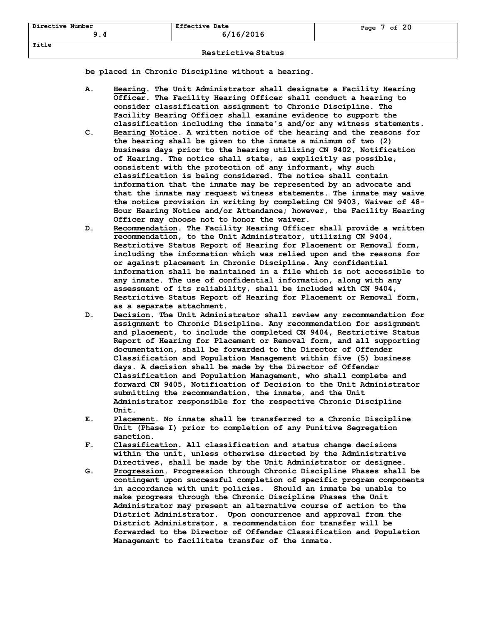**be placed in Chronic Discipline without a hearing.**

- **A. Hearing. The Unit Administrator shall designate a Facility Hearing Officer. The Facility Hearing Officer shall conduct a hearing to consider classification assignment to Chronic Discipline. The Facility Hearing Officer shall examine evidence to support the classification including the inmate's and/or any witness statements.**
- **C. Hearing Notice. A written notice of the hearing and the reasons for the hearing shall be given to the inmate a minimum of two (2) business days prior to the hearing utilizing CN 9402, Notification of Hearing. The notice shall state, as explicitly as possible, consistent with the protection of any informant, why such classification is being considered. The notice shall contain information that the inmate may be represented by an advocate and that the inmate may request witness statements. The inmate may waive the notice provision in writing by completing CN 9403, Waiver of 48- Hour Hearing Notice and/or Attendance; however, the Facility Hearing Officer may choose not to honor the waiver.**
- **D. Recommendation. The Facility Hearing Officer shall provide a written recommendation, to the Unit Administrator, utilizing CN 9404, Restrictive Status Report of Hearing for Placement or Removal form, including the information which was relied upon and the reasons for or against placement in Chronic Discipline. Any confidential information shall be maintained in a file which is not accessible to any inmate. The use of confidential information, along with any assessment of its reliability, shall be included with CN 9404, Restrictive Status Report of Hearing for Placement or Removal form, as a separate attachment.**
- **D. Decision. The Unit Administrator shall review any recommendation for assignment to Chronic Discipline. Any recommendation for assignment and placement, to include the completed CN 9404, Restrictive Status Report of Hearing for Placement or Removal form, and all supporting documentation, shall be forwarded to the Director of Offender Classification and Population Management within five (5) business days. A decision shall be made by the Director of Offender Classification and Population Management, who shall complete and forward CN 9405, Notification of Decision to the Unit Administrator submitting the recommendation, the inmate, and the Unit Administrator responsible for the respective Chronic Discipline Unit.**
- **E. Placement. No inmate shall be transferred to a Chronic Discipline Unit (Phase I) prior to completion of any Punitive Segregation sanction.**
- **F. Classification. All classification and status change decisions within the unit, unless otherwise directed by the Administrative Directives, shall be made by the Unit Administrator or designee.**
- **G. Progression. Progression through Chronic Discipline Phases shall be contingent upon successful completion of specific program components in accordance with unit policies. Should an inmate be unable to make progress through the Chronic Discipline Phases the Unit Administrator may present an alternative course of action to the District Administrator. Upon concurrence and approval from the District Administrator, a recommendation for transfer will be forwarded to the Director of Offender Classification and Population Management to facilitate transfer of the inmate.**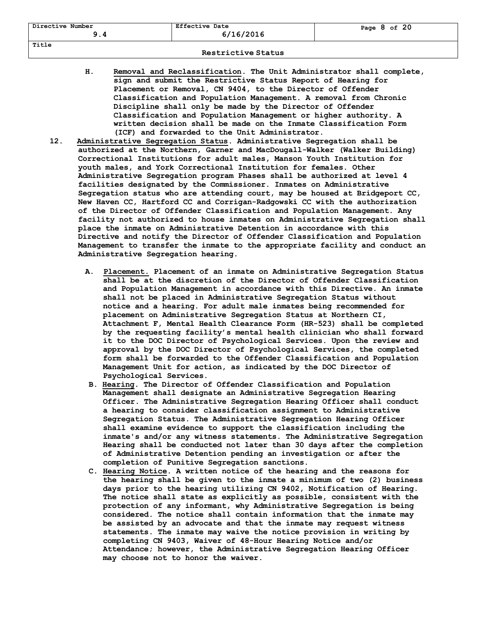- **H. Removal and Reclassification. The Unit Administrator shall complete, sign and submit the Restrictive Status Report of Hearing for Placement or Removal, CN 9404, to the Director of Offender Classification and Population Management. A removal from Chronic Discipline shall only be made by the Director of Offender Classification and Population Management or higher authority. A written decision shall be made on the Inmate Classification Form (ICF) and forwarded to the Unit Administrator.**
- **12. Administrative Segregation Status. Administrative Segregation shall be authorized at the Northern, Garner and MacDougall-Walker (Walker Building) Correctional Institutions for adult males, Manson Youth Institution for youth males, and York Correctional Institution for females. Other Administrative Segregation program Phases shall be authorized at level 4 facilities designated by the Commissioner. Inmates on Administrative Segregation status who are attending court, may be housed at Bridgeport CC, New Haven CC, Hartford CC and Corrigan-Radgowski CC with the authorization of the Director of Offender Classification and Population Management. Any facility not authorized to house inmates on Administrative Segregation shall place the inmate on Administrative Detention in accordance with this Directive and notify the Director of Offender Classification and Population Management to transfer the inmate to the appropriate facility and conduct an Administrative Segregation hearing.**
	- **A. Placement. Placement of an inmate on Administrative Segregation Status shall be at the discretion of the Director of Offender Classification and Population Management in accordance with this Directive. An inmate shall not be placed in Administrative Segregation Status without notice and a hearing. For adult male inmates being recommended for placement on Administrative Segregation Status at Northern CI, Attachment F, Mental Health Clearance Form (HR-523) shall be completed by the requesting facility's mental health clinician who shall forward it to the DOC Director of Psychological Services. Upon the review and approval by the DOC Director of Psychological Services, the completed form shall be forwarded to the Offender Classification and Population Management Unit for action, as indicated by the DOC Director of Psychological Services.**
	- **B. Hearing. The Director of Offender Classification and Population Management shall designate an Administrative Segregation Hearing Officer. The Administrative Segregation Hearing Officer shall conduct a hearing to consider classification assignment to Administrative Segregation Status. The Administrative Segregation Hearing Officer shall examine evidence to support the classification including the inmate's and/or any witness statements. The Administrative Segregation Hearing shall be conducted not later than 30 days after the completion of Administrative Detention pending an investigation or after the completion of Punitive Segregation sanctions.**
	- **C. Hearing Notice. A written notice of the hearing and the reasons for the hearing shall be given to the inmate a minimum of two (2) business days prior to the hearing utilizing CN 9402, Notification of Hearing. The notice shall state as explicitly as possible, consistent with the protection of any informant, why Administrative Segregation is being considered. The notice shall contain information that the inmate may be assisted by an advocate and that the inmate may request witness statements. The inmate may waive the notice provision in writing by completing CN 9403, Waiver of 48-Hour Hearing Notice and/or Attendance; however, the Administrative Segregation Hearing Officer may choose not to honor the waiver.**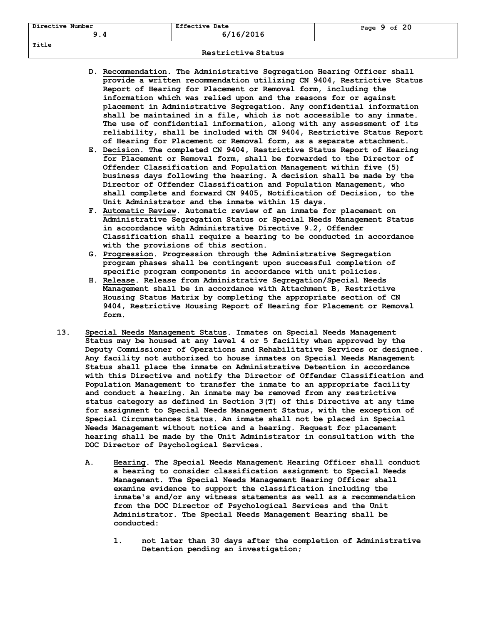| D. Recommendation. The Administrative Segregation Hearing Officer shall |
|-------------------------------------------------------------------------|
| provide a written recommendation utilizing CN 9404, Restrictive Status  |
| Report of Hearing for Placement or Removal form, including the          |
| information which was relied upon and the reasons for or against        |
| placement in Administrative Segregation. Any confidential information   |
| shall be maintained in a file, which is not accessible to any inmate.   |
| The use of confidential information, along with any assessment of its   |
| reliability, shall be included with CN 9404, Restrictive Status Report  |
| of Hearing for Placement or Removal form, as a separate attachment.     |

- **E. Decision. The completed CN 9404, Restrictive Status Report of Hearing for Placement or Removal form, shall be forwarded to the Director of Offender Classification and Population Management within five (5) business days following the hearing. A decision shall be made by the Director of Offender Classification and Population Management, who shall complete and forward CN 9405, Notification of Decision, to the Unit Administrator and the inmate within 15 days.**
- **F. Automatic Review. Automatic review of an inmate for placement on Administrative Segregation Status or Special Needs Management Status in accordance with Administrative Directive 9.2, Offender Classification shall require a hearing to be conducted in accordance with the provisions of this section.**
- **G. Progression. Progression through the Administrative Segregation program phases shall be contingent upon successful completion of specific program components in accordance with unit policies.**
- **H. Release. Release from Administrative Segregation/Special Needs Management shall be in accordance with Attachment B, Restrictive Housing Status Matrix by completing the appropriate section of CN 9404, Restrictive Housing Report of Hearing for Placement or Removal form.**
- **13. Special Needs Management Status. Inmates on Special Needs Management Status may be housed at any level 4 or 5 facility when approved by the Deputy Commissioner of Operations and Rehabilitative Services or designee. Any facility not authorized to house inmates on Special Needs Management Status shall place the inmate on Administrative Detention in accordance with this Directive and notify the Director of Offender Classification and Population Management to transfer the inmate to an appropriate facility and conduct a hearing. An inmate may be removed from any restrictive status category as defined in Section 3(T) of this Directive at any time for assignment to Special Needs Management Status, with the exception of Special Circumstances Status. An inmate shall not be placed in Special Needs Management without notice and a hearing. Request for placement hearing shall be made by the Unit Administrator in consultation with the DOC Director of Psychological Services.**
	- **A. Hearing. The Special Needs Management Hearing Officer shall conduct a hearing to consider classification assignment to Special Needs Management. The Special Needs Management Hearing Officer shall examine evidence to support the classification including the inmate's and/or any witness statements as well as a recommendation from the DOC Director of Psychological Services and the Unit Administrator. The Special Needs Management Hearing shall be conducted:**
		- **1. not later than 30 days after the completion of Administrative Detention pending an investigation;**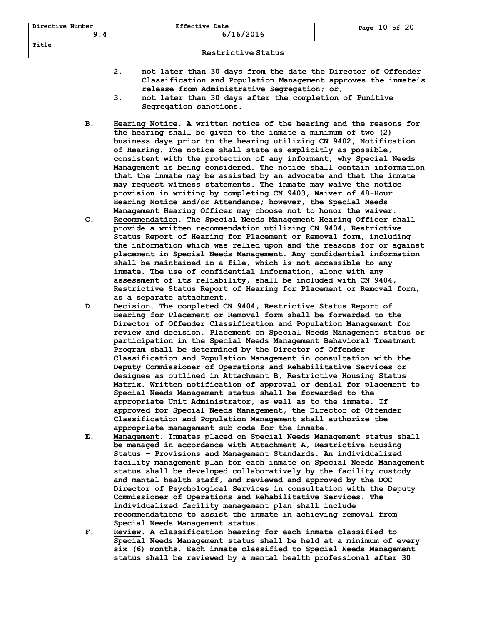- **2. not later than 30 days from the date the Director of Offender Classification and Population Management approves the inmate's release from Administrative Segregation; or,**
- **3. not later than 30 days after the completion of Punitive Segregation sanctions.**
- **B. Hearing Notice. A written notice of the hearing and the reasons for the hearing shall be given to the inmate a minimum of two (2) business days prior to the hearing utilizing CN 9402, Notification of Hearing. The notice shall state as explicitly as possible, consistent with the protection of any informant, why Special Needs Management is being considered. The notice shall contain information that the inmate may be assisted by an advocate and that the inmate may request witness statements. The inmate may waive the notice provision in writing by completing CN 9403, Waiver of 48-Hour Hearing Notice and/or Attendance; however, the Special Needs Management Hearing Officer may choose not to honor the waiver.**
- **C. Recommendation. The Special Needs Management Hearing Officer shall provide a written recommendation utilizing CN 9404, Restrictive Status Report of Hearing for Placement or Removal form, including the information which was relied upon and the reasons for or against placement in Special Needs Management. Any confidential information shall be maintained in a file, which is not accessible to any inmate. The use of confidential information, along with any assessment of its reliability, shall be included with CN 9404, Restrictive Status Report of Hearing for Placement or Removal form, as a separate attachment.**
- **D. Decision. The completed CN 9404, Restrictive Status Report of Hearing for Placement or Removal form shall be forwarded to the Director of Offender Classification and Population Management for review and decision. Placement on Special Needs Management status or participation in the Special Needs Management Behavioral Treatment Program shall be determined by the Director of Offender Classification and Population Management in consultation with the Deputy Commissioner of Operations and Rehabilitative Services or designee as outlined in Attachment B, Restrictive Housing Status Matrix. Written notification of approval or denial for placement to Special Needs Management status shall be forwarded to the appropriate Unit Administrator, as well as to the inmate. If approved for Special Needs Management, the Director of Offender Classification and Population Management shall authorize the appropriate management sub code for the inmate.**
- **E. Management. Inmates placed on Special Needs Management status shall be managed in accordance with Attachment A, Restrictive Housing Status – Provisions and Management Standards. An individualized facility management plan for each inmate on Special Needs Management status shall be developed collaboratively by the facility custody and mental health staff, and reviewed and approved by the DOC Director of Psychological Services in consultation with the Deputy Commissioner of Operations and Rehabilitative Services. The individualized facility management plan shall include recommendations to assist the inmate in achieving removal from Special Needs Management status.**
- **F. Review. A classification hearing for each inmate classified to Special Needs Management status shall be held at a minimum of every six (6) months. Each inmate classified to Special Needs Management status shall be reviewed by a mental health professional after 30**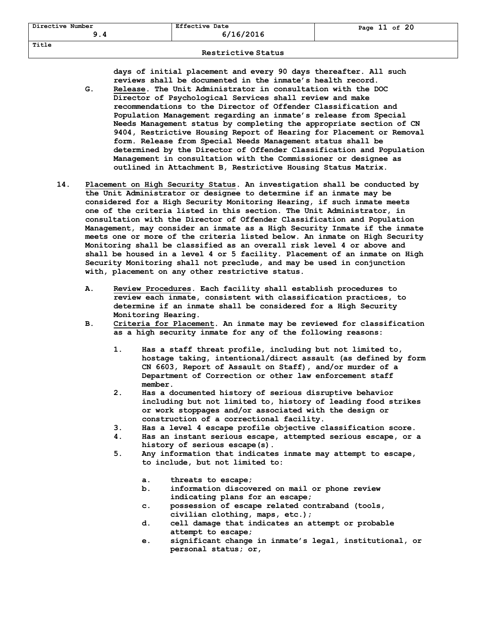**days of initial placement and every 90 days thereafter. All such reviews shall be documented in the inmate's health record.**

- **G. Release. The Unit Administrator in consultation with the DOC Director of Psychological Services shall review and make recommendations to the Director of Offender Classification and Population Management regarding an inmate's release from Special Needs Management status by completing the appropriate section of CN 9404, Restrictive Housing Report of Hearing for Placement or Removal form. Release from Special Needs Management status shall be determined by the Director of Offender Classification and Population Management in consultation with the Commissioner or designee as outlined in Attachment B, Restrictive Housing Status Matrix.**
- **14. Placement on High Security Status. An investigation shall be conducted by the Unit Administrator or designee to determine if an inmate may be considered for a High Security Monitoring Hearing, if such inmate meets one of the criteria listed in this section. The Unit Administrator, in consultation with the Director of Offender Classification and Population Management, may consider an inmate as a High Security Inmate if the inmate meets one or more of the criteria listed below. An inmate on High Security Monitoring shall be classified as an overall risk level 4 or above and shall be housed in a level 4 or 5 facility. Placement of an inmate on High Security Monitoring shall not preclude, and may be used in conjunction with, placement on any other restrictive status.**
	- **A. Review Procedures. Each facility shall establish procedures to review each inmate, consistent with classification practices, to determine if an inmate shall be considered for a High Security Monitoring Hearing.**
	- **B. Criteria for Placement. An inmate may be reviewed for classification as a high security inmate for any of the following reasons:**
		- **1. Has a staff threat profile, including but not limited to, hostage taking, intentional/direct assault (as defined by form CN 6603, Report of Assault on Staff), and/or murder of a Department of Correction or other law enforcement staff member.**
		- **2. Has a documented history of serious disruptive behavior including but not limited to, history of leading food strikes or work stoppages and/or associated with the design or construction of a correctional facility.**
		- **3. Has a level 4 escape profile objective classification score.**
		- **4. Has an instant serious escape, attempted serious escape, or a history of serious escape(s).**
		- **5. Any information that indicates inmate may attempt to escape, to include, but not limited to:**
			- **a. threats to escape;**
			- **b. information discovered on mail or phone review indicating plans for an escape;**
			- **c. possession of escape related contraband (tools, civilian clothing, maps, etc.);**
			- **d. cell damage that indicates an attempt or probable attempt to escape;**
			- **e. significant change in inmate's legal, institutional, or personal status; or,**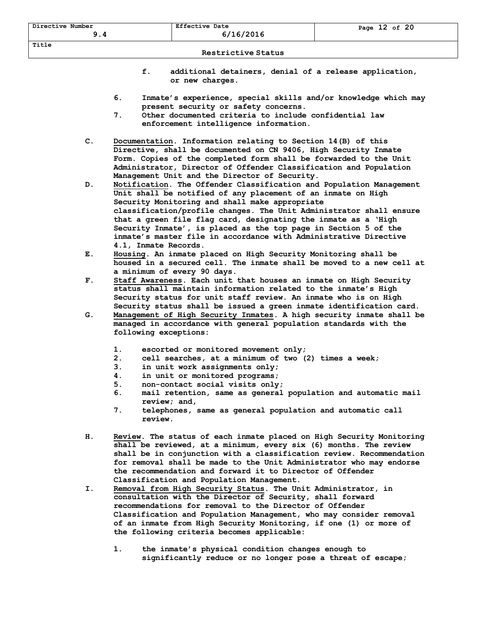- **f. additional detainers, denial of a release application, or new charges.**
- **6. Inmate's experience, special skills and/or knowledge which may present security or safety concerns.**
- **7. Other documented criteria to include confidential law enforcement intelligence information.**
- **C. Documentation. Information relating to Section 14(B) of this Directive, shall be documented on CN 9406, High Security Inmate Form. Copies of the completed form shall be forwarded to the Unit Administrator, Director of Offender Classification and Population Management Unit and the Director of Security.**
- **D. Notification. The Offender Classification and Population Management Unit shall be notified of any placement of an inmate on High Security Monitoring and shall make appropriate classification/profile changes. The Unit Administrator shall ensure that a green file flag card, designating the inmate as a 'High Security Inmate', is placed as the top page in Section 5 of the inmate's master file in accordance with Administrative Directive 4.1, Inmate Records.**
- **E. Housing. An inmate placed on High Security Monitoring shall be housed in a secured cell. The inmate shall be moved to a new cell at a minimum of every 90 days.**
- **F. Staff Awareness. Each unit that houses an inmate on High Security status shall maintain information related to the inmate's High Security status for unit staff review. An inmate who is on High Security status shall be issued a green inmate identification card.**
- **G. Management of High Security Inmates. A high security inmate shall be managed in accordance with general population standards with the following exceptions:**
	- **1. escorted or monitored movement only;**
	- **2. cell searches, at a minimum of two (2) times a week;**
	- **3. in unit work assignments only;**
	- **4. in unit or monitored programs;**
	- **5. non-contact social visits only;**
	- **6. mail retention, same as general population and automatic mail review; and,**
	- **7. telephones, same as general population and automatic call review.**
- **H. Review. The status of each inmate placed on High Security Monitoring shall be reviewed, at a minimum, every six (6) months. The review shall be in conjunction with a classification review. Recommendation for removal shall be made to the Unit Administrator who may endorse the recommendation and forward it to Director of Offender Classification and Population Management.**
- **I. Removal from High Security Status. The Unit Administrator, in consultation with the Director of Security, shall forward recommendations for removal to the Director of Offender Classification and Population Management, who may consider removal of an inmate from High Security Monitoring, if one (1) or more of the following criteria becomes applicable:**
	- **1. the inmate's physical condition changes enough to significantly reduce or no longer pose a threat of escape;**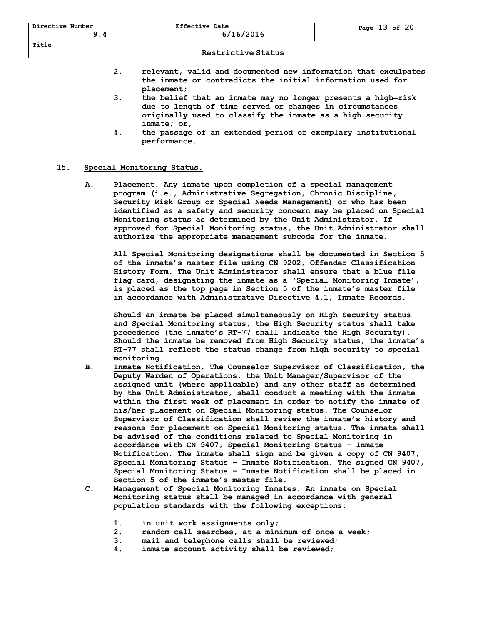- **2. relevant, valid and documented new information that exculpates the inmate or contradicts the initial information used for placement;**
- **3. the belief that an inmate may no longer presents a high risk due to length of time served or changes in circumstances originally used to classify the inmate as a high security inmate; or,**
- **4. the passage of an extended period of exemplary institutional performance.**

### **15. Special Monitoring Status.**

**A. Placement. Any inmate upon completion of a special management program (i.e., Administrative Segregation, Chronic Discipline, Security Risk Group or Special Needs Management) or who has been identified as a safety and security concern may be placed on Special Monitoring status as determined by the Unit Administrator. If approved for Special Monitoring status, the Unit Administrator shall authorize the appropriate management subcode for the inmate.**

**All Special Monitoring designations shall be documented in Section 5 of the inmate's master file using CN 9202, Offender Classification History Form. The Unit Administrator shall ensure that a blue file flag card, designating the inmate as a 'Special Monitoring Inmate', is placed as the top page in Section 5 of the inmate's master file in accordance with Administrative Directive 4.1, Inmate Records.**

**Should an inmate be placed simultaneously on High Security status and Special Monitoring status, the High Security status shall take precedence (the inmate's RT-77 shall indicate the High Security). Should the inmate be removed from High Security status, the inmate's RT-77 shall reflect the status change from high security to special monitoring.**

- **B. Inmate Notification. The Counselor Supervisor of Classification, the Deputy Warden of Operations, the Unit Manager/Supervisor of the assigned unit (where applicable) and any other staff as determined by the Unit Administrator, shall conduct a meeting with the inmate within the first week of placement in order to notify the inmate of his/her placement on Special Monitoring status. The Counselor Supervisor of Classification shall review the inmate's history and reasons for placement on Special Monitoring status. The inmate shall be advised of the conditions related to Special Monitoring in accordance with CN 9407, Special Monitoring Status – Inmate Notification. The inmate shall sign and be given a copy of CN 9407, Special Monitoring Status – Inmate Notification. The signed CN 9407, Special Monitoring Status – Inmate Notification shall be placed in Section 5 of the inmate's master file.**
- **C. Management of Special Monitoring Inmates. An inmate on Special Monitoring status shall be managed in accordance with general population standards with the following exceptions:**
	- **1. in unit work assignments only;**
	- **2. random cell searches, at a minimum of once a week;**
	- **3. mail and telephone calls shall be reviewed;**
	- **4. inmate account activity shall be reviewed;**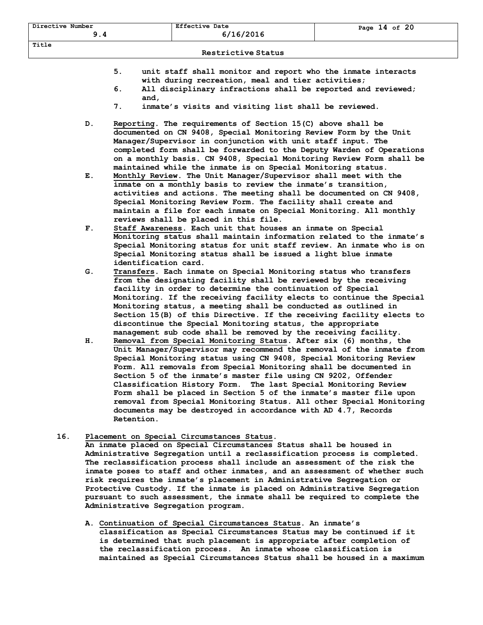- **5. unit staff shall monitor and report who the inmate interacts with during recreation, meal and tier activities;**
- **6. All disciplinary infractions shall be reported and reviewed; and,**
- **7. inmate's visits and visiting list shall be reviewed.**
- **D. Reporting. The requirements of Section 15(C) above shall be documented on CN 9408, Special Monitoring Review Form by the Unit Manager/Supervisor in conjunction with unit staff input. The completed form shall be forwarded to the Deputy Warden of Operations on a monthly basis. CN 9408, Special Monitoring Review Form shall be maintained while the inmate is on Special Monitoring status.**
- **E. Monthly Review. The Unit Manager/Supervisor shall meet with the inmate on a monthly basis to review the inmate's transition, activities and actions. The meeting shall be documented on CN 9408, Special Monitoring Review Form. The facility shall create and maintain a file for each inmate on Special Monitoring. All monthly reviews shall be placed in this file.**
- **F. Staff Awareness. Each unit that houses an inmate on Special Monitoring status shall maintain information related to the inmate's Special Monitoring status for unit staff review. An inmate who is on Special Monitoring status shall be issued a light blue inmate identification card.**
- **G. Transfers. Each inmate on Special Monitoring status who transfers from the designating facility shall be reviewed by the receiving facility in order to determine the continuation of Special Monitoring. If the receiving facility elects to continue the Special Monitoring status, a meeting shall be conducted as outlined in Section 15(B) of this Directive. If the receiving facility elects to discontinue the Special Monitoring status, the appropriate management sub code shall be removed by the receiving facility.**
- **H. Removal from Special Monitoring Status. After six (6) months, the Unit Manager/Supervisor may recommend the removal of the inmate from Special Monitoring status using CN 9408, Special Monitoring Review Form. All removals from Special Monitoring shall be documented in Section 5 of the inmate's master file using CN 9202, Offender Classification History Form. The last Special Monitoring Review Form shall be placed in Section 5 of the inmate's master file upon removal from Special Monitoring Status. All other Special Monitoring documents may be destroyed in accordance with AD 4.7, Records Retention.**
- **16. Placement on Special Circumstances Status. An inmate placed on Special Circumstances Status shall be housed in** 
	- **Administrative Segregation until a reclassification process is completed. The reclassification process shall include an assessment of the risk the inmate poses to staff and other inmates, and an assessment of whether such risk requires the inmate's placement in Administrative Segregation or Protective Custody. If the inmate is placed on Administrative Segregation pursuant to such assessment, the inmate shall be required to complete the Administrative Segregation program.**
	- **A. Continuation of Special Circumstances Status. An inmate's classification as Special Circumstances Status may be continued if it is determined that such placement is appropriate after completion of the reclassification process. An inmate whose classification is maintained as Special Circumstances Status shall be housed in a maximum**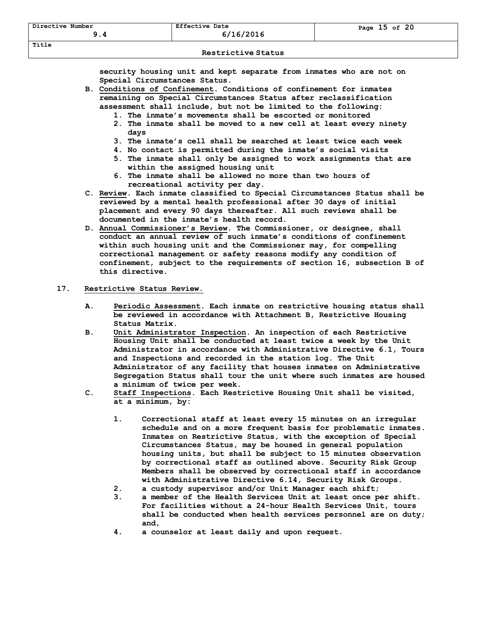**security housing unit and kept separate from inmates who are not on Special Circumstances Status.**

- **B. Conditions of Confinement. Conditions of confinement for inmates remaining on Special Circumstances Status after reclassification assessment shall include, but not be limited to the following:** 
	- **1. The inmate's movements shall be escorted or monitored**
	- **2. The inmate shall be moved to a new cell at least every ninety days**
	- **3. The inmate's cell shall be searched at least twice each week**
	- **4. No contact is permitted during the inmate's social visits**
	- **5. The inmate shall only be assigned to work assignments that are within the assigned housing unit**
	- **6. The inmate shall be allowed no more than two hours of recreational activity per day.**
- **C. Review. Each inmate classified to Special Circumstances Status shall be reviewed by a mental health professional after 30 days of initial placement and every 90 days thereafter. All such reviews shall be documented in the inmate's health record.**
- **D. Annual Commissioner's Review. The Commissioner, or designee, shall conduct an annual review of such inmate's conditions of confinement within such housing unit and the Commissioner may, for compelling correctional management or safety reasons modify any condition of confinement, subject to the requirements of section 16, subsection B of this directive.**

### **17. Restrictive Status Review.**

- **A. Periodic Assessment. Each inmate on restrictive housing status shall be reviewed in accordance with Attachment B, Restrictive Housing Status Matrix.**
- **B. Unit Administrator Inspection. An inspection of each Restrictive Housing Unit shall be conducted at least twice a week by the Unit Administrator in accordance with Administrative Directive 6.1, Tours and Inspections and recorded in the station log. The Unit Administrator of any facility that houses inmates on Administrative Segregation Status shall tour the unit where such inmates are housed a minimum of twice per week.**
- **C. Staff Inspections. Each Restrictive Housing Unit shall be visited, at a minimum, by:**
	- **1. Correctional staff at least every 15 minutes on an irregular schedule and on a more frequent basis for problematic inmates. Inmates on Restrictive Status, with the exception of Special Circumstances Status, may be housed in general population housing units, but shall be subject to 15 minutes observation by correctional staff as outlined above. Security Risk Group Members shall be observed by correctional staff in accordance with Administrative Directive 6.14, Security Risk Groups.**
	- **2. a custody supervisor and/or Unit Manager each shift;**
	- **3. a member of the Health Services Unit at least once per shift. For facilities without a 24-hour Health Services Unit, tours shall be conducted when health services personnel are on duty; and,**
	- **4. a counselor at least daily and upon request.**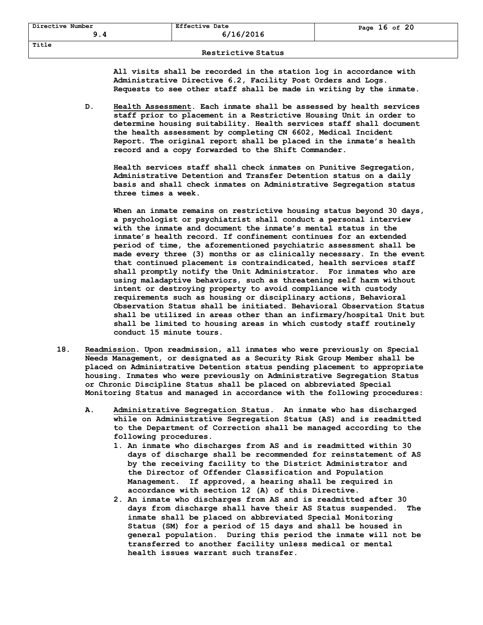## **Restrictive Status**

**All visits shall be recorded in the station log in accordance with Administrative Directive 6.2, Facility Post Orders and Logs. Requests to see other staff shall be made in writing by the inmate.**

**D. Health Assessment. Each inmate shall be assessed by health services staff prior to placement in a Restrictive Housing Unit in order to determine housing suitability. Health services staff shall document the health assessment by completing CN 6602, Medical Incident Report. The original report shall be placed in the inmate's health record and a copy forwarded to the Shift Commander.** 

**Health services staff shall check inmates on Punitive Segregation, Administrative Detention and Transfer Detention status on a daily basis and shall check inmates on Administrative Segregation status three times a week.**

**When an inmate remains on restrictive housing status beyond 30 days, a psychologist or psychiatrist shall conduct a personal interview with the inmate and document the inmate's mental status in the inmate's health record. If confinement continues for an extended period of time, the aforementioned psychiatric assessment shall be made every three (3) months or as clinically necessary. In the event that continued placement is contraindicated, health services staff shall promptly notify the Unit Administrator. For inmates who are using maladaptive behaviors, such as threatening self harm without intent or destroying property to avoid compliance with custody requirements such as housing or disciplinary actions, Behavioral Observation Status shall be initiated. Behavioral Observation Status shall be utilized in areas other than an infirmary/hospital Unit but shall be limited to housing areas in which custody staff routinely conduct 15 minute tours.**

- **18. Readmission. Upon readmission, all inmates who were previously on Special Needs Management, or designated as a Security Risk Group Member shall be placed on Administrative Detention status pending placement to appropriate housing. Inmates who were previously on Administrative Segregation Status or Chronic Discipline Status shall be placed on abbreviated Special Monitoring Status and managed in accordance with the following procedures:** 
	- **A. Administrative Segregation Status. An inmate who has discharged while on Administrative Segregation Status (AS) and is readmitted to the Department of Correction shall be managed according to the following procedures.**
		- **1. An inmate who discharges from AS and is readmitted within 30 days of discharge shall be recommended for reinstatement of AS by the receiving facility to the District Administrator and the Director of Offender Classification and Population Management. If approved, a hearing shall be required in accordance with section 12 (A) of this Directive.**
		- **2. An inmate who discharges from AS and is readmitted after 30 days from discharge shall have their AS Status suspended. The inmate shall be placed on abbreviated Special Monitoring Status (SM) for a period of 15 days and shall be housed in general population. During this period the inmate will not be transferred to another facility unless medical or mental health issues warrant such transfer.**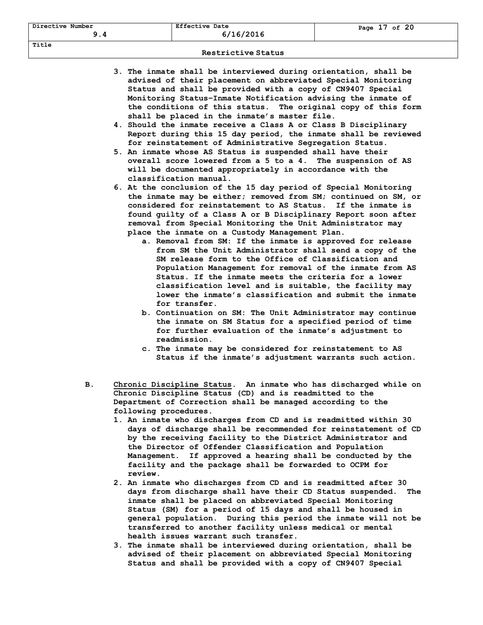- **3. The inmate shall be interviewed during orientation, shall be advised of their placement on abbreviated Special Monitoring Status and shall be provided with a copy of CN9407 Special Monitoring Status–Inmate Notification advising the inmate of the conditions of this status. The original copy of this form shall be placed in the inmate's master file.**
- **4. Should the inmate receive a Class A or Class B Disciplinary Report during this 15 day period, the inmate shall be reviewed for reinstatement of Administrative Segregation Status.**
- **5. An inmate whose AS Status is suspended shall have their overall score lowered from a 5 to a 4. The suspension of AS will be documented appropriately in accordance with the classification manual.**
- **6. At the conclusion of the 15 day period of Special Monitoring the inmate may be either; removed from SM; continued on SM, or considered for reinstatement to AS Status. If the inmate is found guilty of a Class A or B Disciplinary Report soon after removal from Special Monitoring the Unit Administrator may place the inmate on a Custody Management Plan.**
	- **a. Removal from SM: If the inmate is approved for release from SM the Unit Administrator shall send a copy of the SM release form to the Office of Classification and Population Management for removal of the inmate from AS Status. If the inmate meets the criteria for a lower classification level and is suitable, the facility may lower the inmate's classification and submit the inmate for transfer.**
	- **b. Continuation on SM: The Unit Administrator may continue the inmate on SM Status for a specified period of time for further evaluation of the inmate's adjustment to readmission.**
	- **c. The inmate may be considered for reinstatement to AS Status if the inmate's adjustment warrants such action.**
- **B. Chronic Discipline Status. An inmate who has discharged while on Chronic Discipline Status (CD) and is readmitted to the Department of Correction shall be managed according to the following procedures.**
	- **1. An inmate who discharges from CD and is readmitted within 30 days of discharge shall be recommended for reinstatement of CD by the receiving facility to the District Administrator and the Director of Offender Classification and Population Management. If approved a hearing shall be conducted by the facility and the package shall be forwarded to OCPM for review.**
	- **2. An inmate who discharges from CD and is readmitted after 30 days from discharge shall have their CD Status suspended. The inmate shall be placed on abbreviated Special Monitoring Status (SM) for a period of 15 days and shall be housed in general population. During this period the inmate will not be transferred to another facility unless medical or mental health issues warrant such transfer.**
	- **3. The inmate shall be interviewed during orientation, shall be advised of their placement on abbreviated Special Monitoring Status and shall be provided with a copy of CN9407 Special**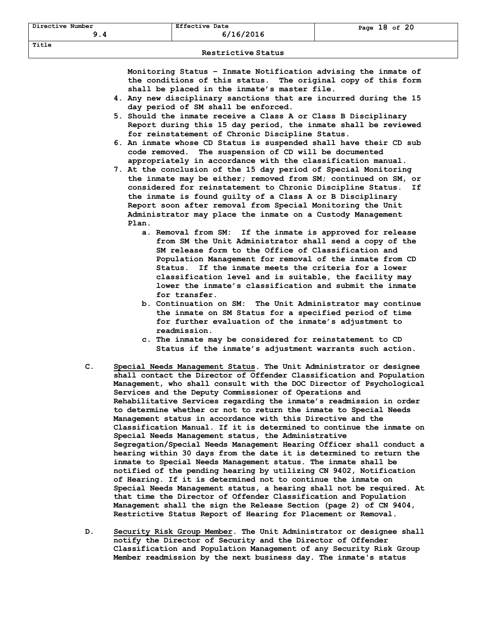**Monitoring Status – Inmate Notification advising the inmate of the conditions of this status. The original copy of this form shall be placed in the inmate's master file.**

- **4. Any new disciplinary sanctions that are incurred during the 15 day period of SM shall be enforced.**
- **5. Should the inmate receive a Class A or Class B Disciplinary Report during this 15 day period, the inmate shall be reviewed for reinstatement of Chronic Discipline Status.**
- **6. An inmate whose CD Status is suspended shall have their CD sub code removed. The suspension of CD will be documented appropriately in accordance with the classification manual.**
- **7. At the conclusion of the 15 day period of Special Monitoring the inmate may be either; removed from SM; continued on SM, or considered for reinstatement to Chronic Discipline Status. If the inmate is found guilty of a Class A or B Disciplinary Report soon after removal from Special Monitoring the Unit Administrator may place the inmate on a Custody Management Plan.**
	- **a. Removal from SM: If the inmate is approved for release from SM the Unit Administrator shall send a copy of the SM release form to the Office of Classification and Population Management for removal of the inmate from CD Status. If the inmate meets the criteria for a lower classification level and is suitable, the facility may lower the inmate's classification and submit the inmate for transfer.**
	- **b. Continuation on SM: The Unit Administrator may continue the inmate on SM Status for a specified period of time for further evaluation of the inmate's adjustment to readmission.**
	- **c. The inmate may be considered for reinstatement to CD Status if the inmate's adjustment warrants such action.**
- **C. Special Needs Management Status. The Unit Administrator or designee shall contact the Director of Offender Classification and Population Management, who shall consult with the DOC Director of Psychological Services and the Deputy Commissioner of Operations and Rehabilitative Services regarding the inmate's readmission in order to determine whether or not to return the inmate to Special Needs Management status in accordance with this Directive and the Classification Manual. If it is determined to continue the inmate on Special Needs Management status, the Administrative Segregation/Special Needs Management Hearing Officer shall conduct a hearing within 30 days from the date it is determined to return the inmate to Special Needs Management status. The inmate shall be notified of the pending hearing by utilizing CN 9402, Notification of Hearing. If it is determined not to continue the inmate on Special Needs Management status, a hearing shall not be required. At that time the Director of Offender Classification and Population Management shall the sign the Release Section (page 2) of CN 9404, Restrictive Status Report of Hearing for Placement or Removal.**
- **D. Security Risk Group Member. The Unit Administrator or designee shall notify the Director of Security and the Director of Offender Classification and Population Management of any Security Risk Group Member readmission by the next business day. The inmate's status**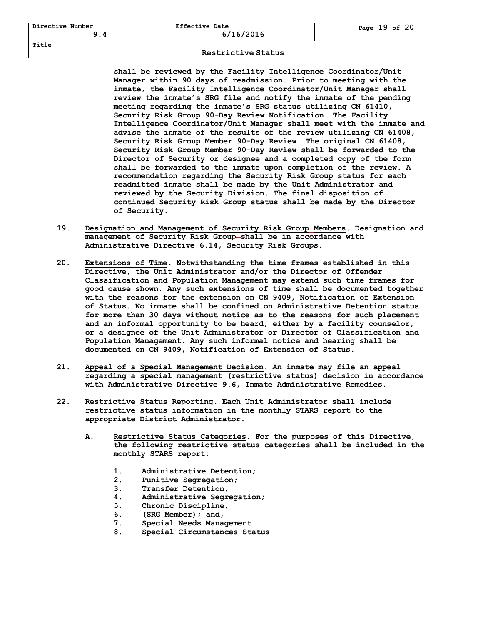## **Restrictive Status**

**shall be reviewed by the Facility Intelligence Coordinator/Unit Manager within 90 days of readmission. Prior to meeting with the inmate, the Facility Intelligence Coordinator/Unit Manager shall review the inmate's SRG file and notify the inmate of the pending meeting regarding the inmate's SRG status utilizing CN 61410, Security Risk Group 90-Day Review Notification. The Facility Intelligence Coordinator/Unit Manager shall meet with the inmate and advise the inmate of the results of the review utilizing CN 61408, Security Risk Group Member 90-Day Review. The original CN 61408, Security Risk Group Member 90-Day Review shall be forwarded to the Director of Security or designee and a completed copy of the form shall be forwarded to the inmate upon completion of the review. A recommendation regarding the Security Risk Group status for each readmitted inmate shall be made by the Unit Administrator and reviewed by the Security Division. The final disposition of continued Security Risk Group status shall be made by the Director of Security.**

- **19. Designation and Management of Security Risk Group Members. Designation and management of Security Risk Group shall be in accordance with Administrative Directive 6.14, Security Risk Groups.**
- **20. Extensions of Time. Notwithstanding the time frames established in this Directive, the Unit Administrator and/or the Director of Offender Classification and Population Management may extend such time frames for good cause shown. Any such extensions of time shall be documented together with the reasons for the extension on CN 9409, Notification of Extension of Status. No inmate shall be confined on Administrative Detention status for more than 30 days without notice as to the reasons for such placement and an informal opportunity to be heard, either by a facility counselor, or a designee of the Unit Administrator or Director of Classification and Population Management. Any such informal notice and hearing shall be documented on CN 9409, Notification of Extension of Status.**
- **21. Appeal of a Special Management Decision. An inmate may file an appeal regarding a special management (restrictive status) decision in accordance with Administrative Directive 9.6, Inmate Administrative Remedies.**
- **22. Restrictive Status Reporting. Each Unit Administrator shall include restrictive status information in the monthly STARS report to the appropriate District Administrator.**
	- **A. Restrictive Status Categories. For the purposes of this Directive, the following restrictive status categories shall be included in the monthly STARS report:**
		- **1. Administrative Detention;**
		- **2. Punitive Segregation;**
		- **3. Transfer Detention;**
		- **4. Administrative Segregation;**
		- **5. Chronic Discipline;**
		- **6. (SRG Member); and,**
		- **7. Special Needs Management.**
		- **8. Special Circumstances Status**